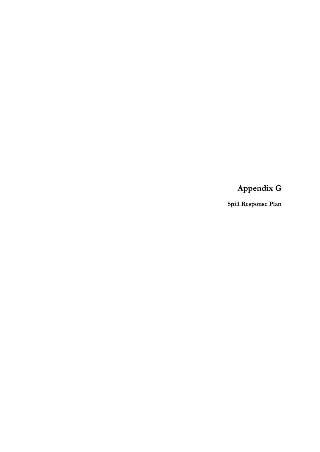**Appendix G**

**Spill Response Plan**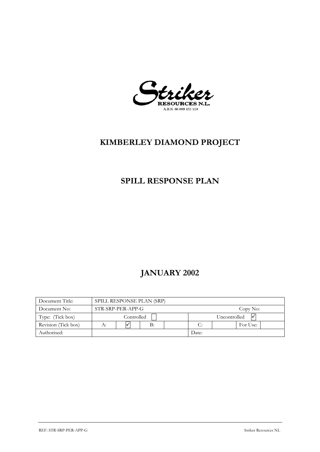Striker A.B.N. 86 009 153 119

# **KIMBERLEY DIAMOND PROJECT**

# **SPILL RESPONSE PLAN**

# **JANUARY 2002**

| Document Title:     | SPILL RESPONSE PLAN (SRP)     |  |    |              |       |  |          |  |
|---------------------|-------------------------------|--|----|--------------|-------|--|----------|--|
| Document No:        | STR-SRP-PER-APP-G<br>Copy No: |  |    |              |       |  |          |  |
| Type: (Tick box)    | Controlled                    |  |    | Uncontrolled |       |  |          |  |
| Revision (Tick box) | А:                            |  | В: |              | C:    |  | For Use: |  |
| Authorised:         |                               |  |    |              | Date: |  |          |  |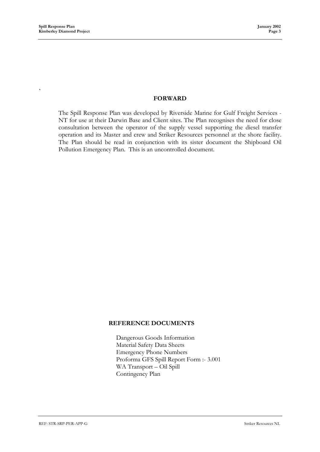**`**

## **FORWARD**

The Spill Response Plan was developed by Riverside Marine for Gulf Freight Services - NT for use at their Darwin Base and Client sites. The Plan recognises the need for close consultation between the operator of the supply vessel supporting the diesel transfer operation and its Master and crew and Striker Resources personnel at the shore facility. The Plan should be read in conjunction with its sister document the Shipboard Oil Pollution Emergency Plan. This is an uncontrolled document.

#### **REFERENCE DOCUMENTS**

Dangerous Goods Information Material Safety Data Sheets Emergency Phone Numbers Proforma GFS Spill Report Form :- 3.001 WA Transport – Oil Spill Contingency Plan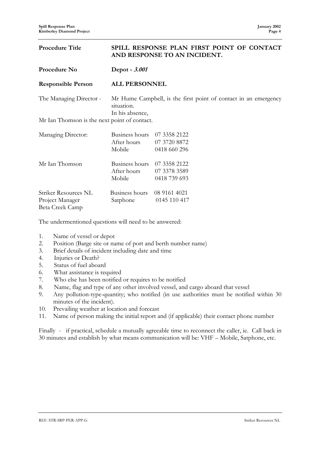#### **Procedure Title SPILL RESPONSE PLAN FIRST POINT OF CONTACT AND RESPONSE TO AN INCIDENT.**

| Procedure No                                 | Depot - 3.001                                                                                    |              |  |  |  |
|----------------------------------------------|--------------------------------------------------------------------------------------------------|--------------|--|--|--|
| <b>Responsible Person</b>                    | <b>ALL PERSONNEL</b>                                                                             |              |  |  |  |
| The Managing Director -                      | Mr Hume Campbell, is the first point of contact in an emergency<br>situation.<br>In his absence, |              |  |  |  |
| Mr Ian Thomson is the next point of contact. |                                                                                                  |              |  |  |  |
| Managing Director:                           | Business hours                                                                                   | 07 3358 2122 |  |  |  |
|                                              | After hours                                                                                      | 07 3720 8872 |  |  |  |
|                                              | Mobile                                                                                           | 0418 660 296 |  |  |  |
| Mr Ian Thomson                               | Business hours                                                                                   | 07 3358 2122 |  |  |  |
|                                              | After hours                                                                                      | 07 3378 3589 |  |  |  |
|                                              | Mobile                                                                                           | 0418 739 693 |  |  |  |
| Striker Resources NL                         | Business hours                                                                                   | 08 9161 4021 |  |  |  |
| Project Manager                              | Satphone                                                                                         | 0145 110 417 |  |  |  |

The undermentioned questions will need to be answered:

- 1. Name of vessel or depot
- 2. Position (Barge site or name of port and berth number name)
- 3. Brief details of incident including date and time
- 4. Injuries or Death?

Beta Creek Camp

- 5. Status of fuel aboard
- 6. What assistance is required
- 7. Who else has been notified or requires to be notified
- 8. Name, flag and type of any other involved vessel, and cargo aboard that vessel
- 9. Any pollution-type-quantity; who notified (in use authorities must be notified within 30 minutes of the incident).
- 10. Prevailing weather at location and forecast
- 11. Name of person making the initial report and (if applicable) their contact phone number

Finally - if practical, schedule a mutually agreeable time to reconnect the caller, ie. Call back in 30 minutes and establish by what means communication will be: VHF – Mobile, Satphone, etc.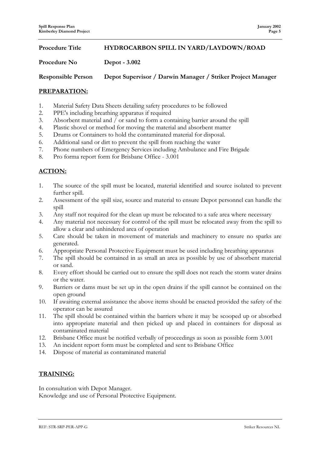**Procedure Title HYDROCARBON SPILL IN YARD/LAYDOWN/ROAD**

#### Procedure No Depot - 3.002

**Responsible Person Depot Supervisor / Darwin Manager / Striker Project Manager**

#### **PREPARATION:**

- 1. Material Safety Data Sheets detailing safety procedures to be followed
- 2. PPE's including breathing apparatus if required
- 3. Absorbent material and / or sand to form a containing barrier around the spill
- 4. Plastic shovel or method for moving the material and absorbent matter
- 5. Drums or Containers to hold the contaminated material for disposal.
- 6. Additional sand or dirt to prevent the spill from reaching the water
- 7. Phone numbers of Emergency Services including Ambulance and Fire Brigade
- 8. Pro forma report form for Brisbane Office 3.001

### **ACTION:**

- 1. The source of the spill must be located, material identified and source isolated to prevent further spill.
- 2. Assessment of the spill size, source and material to ensure Depot personnel can handle the spill
- 3. Any staff not required for the clean up must be relocated to a safe area where necessary
- 4. Any material not necessary for control of the spill must be relocated away from the spill to allow a clear and unhindered area of operation
- 5. Care should be taken in movement of materials and machinery to ensure no sparks are generated.
- 6. Appropriate Personal Protective Equipment must be used including breathing apparatus
- 7. The spill should be contained in as small an area as possible by use of absorbent material or sand.
- 8. Every effort should be carried out to ensure the spill does not reach the storm water drains or the water.
- 9. Barriers or dams must be set up in the open drains if the spill cannot be contained on the open ground
- 10. If awaiting external assistance the above items should be enacted provided the safety of the operator can be assured
- 11. The spill should be contained within the barriers where it may be scooped up or absorbed into appropriate material and then picked up and placed in containers for disposal as contaminated material
- 12. Brisbane Office must be notified verbally of proceedings as soon as possible form 3.001
- 13. An incident report form must be completed and sent to Brisbane Office
- 14. Dispose of material as contaminated material

#### **TRAINING:**

In consultation with Depot Manager. Knowledge and use of Personal Protective Equipment.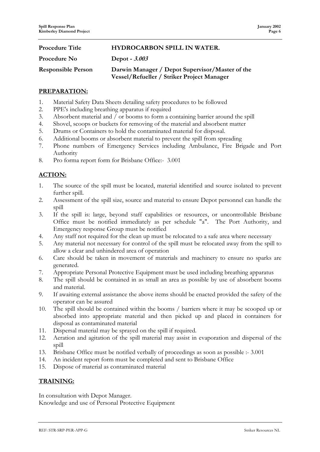| <b>Procedure Title</b>    | <b>HYDROCARBON SPILL IN WATER.</b>                                                            |
|---------------------------|-----------------------------------------------------------------------------------------------|
| Procedure No              | Depot - 3.003                                                                                 |
| <b>Responsible Person</b> | Darwin Manager / Depot Supervisor/Master of the<br>Vessel/Refueller / Striker Project Manager |

#### **PREPARATION:**

- 1. Material Safety Data Sheets detailing safety procedures to be followed
- 2. PPE's including breathing apparatus if required
- 3. Absorbent material and / or booms to form a containing barrier around the spill
- 4. Shovel, scoops or buckets for removing of the material and absorbent matter
- 5. Drums or Containers to hold the contaminated material for disposal.
- 6. Additional booms or absorbent material to prevent the spill from spreading
- 7. Phone numbers of Emergency Services including Ambulance, Fire Brigade and Port Authority
- 8. Pro forma report form for Brisbane Office:- 3.001

### **ACTION:**

- 1. The source of the spill must be located, material identified and source isolated to prevent further spill.
- 2. Assessment of the spill size, source and material to ensure Depot personnel can handle the spill
- 3. If the spill is: large, beyond staff capabilities or resources, or uncontrollable Brisbane Office must be notified immediately as per schedule "a". The Port Authority, and Emergency response Group must be notified
- 4. Any staff not required for the clean up must be relocated to a safe area where necessary
- 5. Any material not necessary for control of the spill must be relocated away from the spill to allow a clear and unhindered area of operation
- 6. Care should be taken in movement of materials and machinery to ensure no sparks are generated.
- 7. Appropriate Personal Protective Equipment must be used including breathing apparatus
- 8. The spill should be contained in as small an area as possible by use of absorbent booms and material.
- 9. If awaiting external assistance the above items should be enacted provided the safety of the operator can be assured
- 10. The spill should be contained within the booms / barriers where it may be scooped up or absorbed into appropriate material and then picked up and placed in containers for disposal as contaminated material
- 11. Dispersal material may be sprayed on the spill if required.
- 12. Aeration and agitation of the spill material may assist in evaporation and dispersal of the spill
- 13. Brisbane Office must be notified verbally of proceedings as soon as possible :- 3.001
- 14. An incident report form must be completed and sent to Brisbane Office
- 15. Dispose of material as contaminated material

#### **TRAINING:**

In consultation with Depot Manager. Knowledge and use of Personal Protective Equipment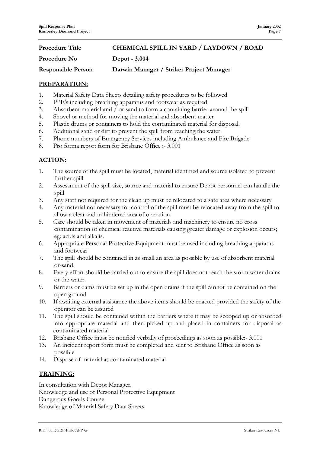| <b>Procedure Title</b>    | <b>CHEMICAL SPILL IN YARD / LAYDOWN / ROAD</b> |
|---------------------------|------------------------------------------------|
| Procedure No              | Depot - 3.004                                  |
| <b>Responsible Person</b> | Darwin Manager / Striker Project Manager       |

#### **PREPARATION:**

- 1. Material Safety Data Sheets detailing safety procedures to be followed
- 2. PPE's including breathing apparatus and footwear as required
- 3. Absorbent material and / or sand to form a containing barrier around the spill
- 4. Shovel or method for moving the material and absorbent matter
- 5. Plastic drums or containers to hold the contaminated material for disposal.
- 6. Additional sand or dirt to prevent the spill from reaching the water
- 7. Phone numbers of Emergency Services including Ambulance and Fire Brigade
- 8. Pro forma report form for Brisbane Office :- 3.001

# **ACTION:**

- 1. The source of the spill must be located, material identified and source isolated to prevent further spill.
- 2. Assessment of the spill size, source and material to ensure Depot personnel can handle the spill
- 3. Any staff not required for the clean up must be relocated to a safe area where necessary
- 4. Any material not necessary for control of the spill must be relocated away from the spill to allow a clear and unhindered area of operation
- 5. Care should be taken in movement of materials and machinery to ensure no cross contamination of chemical reactive materials causing greater damage or explosion occurs; eg: acids and alkalis.
- 6. Appropriate Personal Protective Equipment must be used including breathing apparatus and footwear
- 7. The spill should be contained in as small an area as possible by use of absorbent material or-sand.
- 8. Every effort should be carried out to ensure the spill does not reach the storm water drains or the water.
- 9. Barriers or dams must be set up in the open drains if the spill cannot be contained on the open ground
- 10. If awaiting external assistance the above items should be enacted provided the safety of the operator can be assured
- 11. The spill should be contained within the barriers where it may be scooped up or absorbed into appropriate material and then picked up and placed in containers for disposal as contaminated material
- 12. Brisbane Office must be notified verbally of proceedings as soon as possible:- 3.001
- 13. An incident report form must be completed and sent to Brisbane Office as soon as possible
- 14. Dispose of material as contaminated material

#### **TRAINING:**

In consultation with Depot Manager. Knowledge and use of Personal Protective Equipment Dangerous Goods Course Knowledge of Material Safety Data Sheets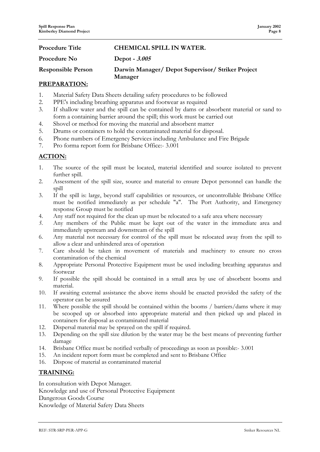# **Procedure Title CHEMICAL SPILL IN WATER.** Procedure No Depot -  $3.005$ **Responsible Person Darwin Manager/ Depot Supervisor/ Striker Project Manager**

#### **PREPARATION:**

- 1. Material Safety Data Sheets detailing safety procedures to be followed
- 2. PPE's including breathing apparatus and footwear as required
- 3. If shallow water and the spill can be contained by dams or absorbent material or sand to form a containing barrier around the spill; this work must be carried out
- 4. Shovel or method for moving the material and absorbent matter
- 5. Drums or containers to hold the contaminated material for disposal.
- 6. Phone numbers of Emergency Services including Ambulance and Fire Brigade
- 7. Pro forma report form for Brisbane Office:- 3.001

### **ACTION:**

- 1. The source of the spill must be located, material identified and source isolated to prevent further spill.
- 2. Assessment of the spill size, source and material to ensure Depot personnel can handle the spill
- 3. If the spill is: large, beyond staff capabilities or resources, or uncontrollable Brisbane Office must be notified immediately as per schedule "a". The Port Authority, and Emergency response Group must be notified
- 4. Any staff not required for the clean up must be relocated to a safe area where necessary
- *5.* Any members of the Public must be kept out of the water in the immediate area and immediately upstream and downstream of the spill
- 6. Any material not necessary for control of the spill must be relocated away from the spill to allow a clear and unhindered area of operation
- 7. Care should be taken in movement of materials and machinery to ensure no cross contamination of the chemical
- 8. Appropriate Personal Protective Equipment must be used including breathing apparatus and footwear
- 9. If possible the spill should be contained in a small area by use of absorbent booms and material.
- 10. If awaiting external assistance the above items should be enacted provided the safety of the operator can be assured
- 11. Where possible the spill should be contained within the booms / barriers/dams where it may be scooped up or absorbed into appropriate material and then picked up and placed in containers for disposal as contaminated material
- 12. Dispersal material may be sprayed on the spill if required.
- 13. Depending on the spill size dilution by the water may be the best means of preventing further damage
- 14. Brisbane Office must be notified verbally of proceedings as soon as possible:- 3.001
- 15. An incident report form must be completed and sent to Brisbane Office
- 16. Dispose of material as contaminated material

#### **TRAINING:**

In consultation with Depot Manager. Knowledge and use of Personal Protective Equipment Dangerous Goods Course Knowledge of Material Safety Data Sheets